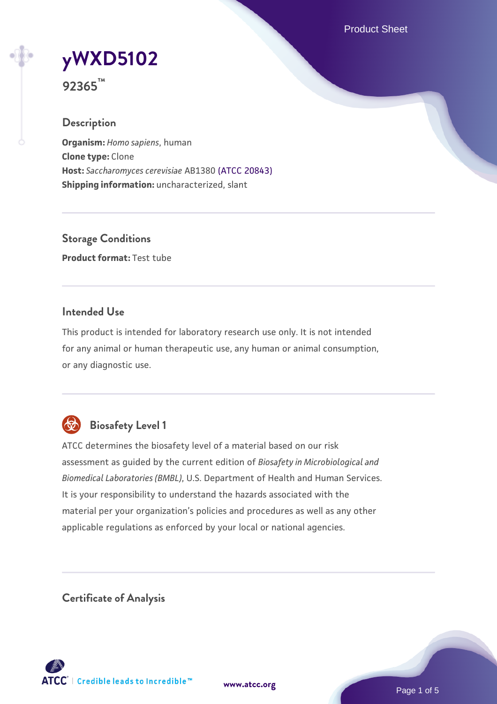Product Sheet



**92365™**

## **Description**

**Organism:** *Homo sapiens*, human **Clone type:** Clone **Host:** *Saccharomyces cerevisiae* AB1380 [\(ATCC 20843\)](https://www.atcc.org/products/20843) **Shipping information:** uncharacterized, slant

**Storage Conditions Product format:** Test tube

## **Intended Use**

This product is intended for laboratory research use only. It is not intended for any animal or human therapeutic use, any human or animal consumption, or any diagnostic use.



# **Biosafety Level 1**

ATCC determines the biosafety level of a material based on our risk assessment as guided by the current edition of *Biosafety in Microbiological and Biomedical Laboratories (BMBL)*, U.S. Department of Health and Human Services. It is your responsibility to understand the hazards associated with the material per your organization's policies and procedures as well as any other applicable regulations as enforced by your local or national agencies.

**Certificate of Analysis**

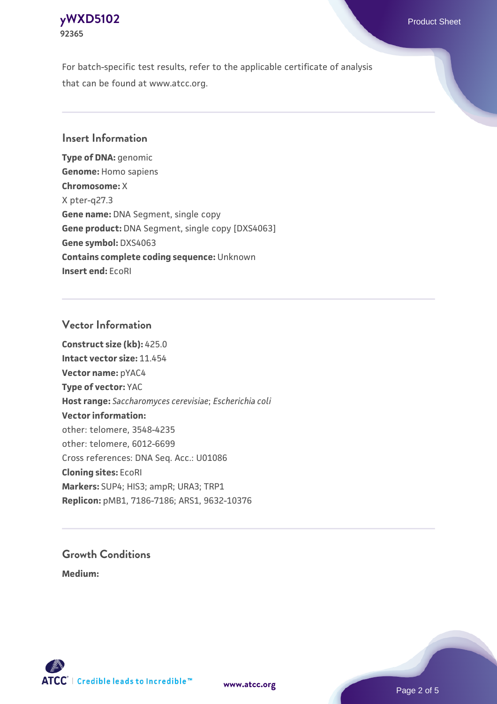# **[yWXD5102](https://www.atcc.org/products/92365)** Product Sheet **92365**

For batch-specific test results, refer to the applicable certificate of analysis that can be found at www.atcc.org.

## **Insert Information**

**Type of DNA:** genomic **Genome:** Homo sapiens **Chromosome:** X X pter-q27.3 **Gene name:** DNA Segment, single copy **Gene product:** DNA Segment, single copy [DXS4063] **Gene symbol:** DXS4063 **Contains complete coding sequence:** Unknown **Insert end:** EcoRI

## **Vector Information**

**Construct size (kb):** 425.0 **Intact vector size:** 11.454 **Vector name:** pYAC4 **Type of vector:** YAC **Host range:** *Saccharomyces cerevisiae*; *Escherichia coli* **Vector information:** other: telomere, 3548-4235 other: telomere, 6012-6699 Cross references: DNA Seq. Acc.: U01086 **Cloning sites:** EcoRI **Markers:** SUP4; HIS3; ampR; URA3; TRP1 **Replicon:** pMB1, 7186-7186; ARS1, 9632-10376

# **Growth Conditions**

**Medium:** 



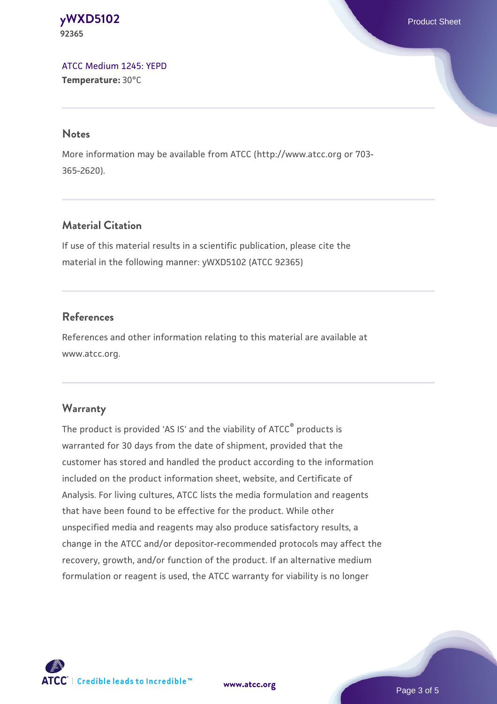#### **[yWXD5102](https://www.atcc.org/products/92365)** Product Sheet **92365**

[ATCC Medium 1245: YEPD](https://www.atcc.org/-/media/product-assets/documents/microbial-media-formulations/1/2/4/5/atcc-medium-1245.pdf?rev=705ca55d1b6f490a808a965d5c072196) **Temperature:** 30°C

#### **Notes**

More information may be available from ATCC (http://www.atcc.org or 703- 365-2620).

## **Material Citation**

If use of this material results in a scientific publication, please cite the material in the following manner: yWXD5102 (ATCC 92365)

## **References**

References and other information relating to this material are available at www.atcc.org.

### **Warranty**

The product is provided 'AS IS' and the viability of ATCC® products is warranted for 30 days from the date of shipment, provided that the customer has stored and handled the product according to the information included on the product information sheet, website, and Certificate of Analysis. For living cultures, ATCC lists the media formulation and reagents that have been found to be effective for the product. While other unspecified media and reagents may also produce satisfactory results, a change in the ATCC and/or depositor-recommended protocols may affect the recovery, growth, and/or function of the product. If an alternative medium formulation or reagent is used, the ATCC warranty for viability is no longer



**[www.atcc.org](http://www.atcc.org)**

Page 3 of 5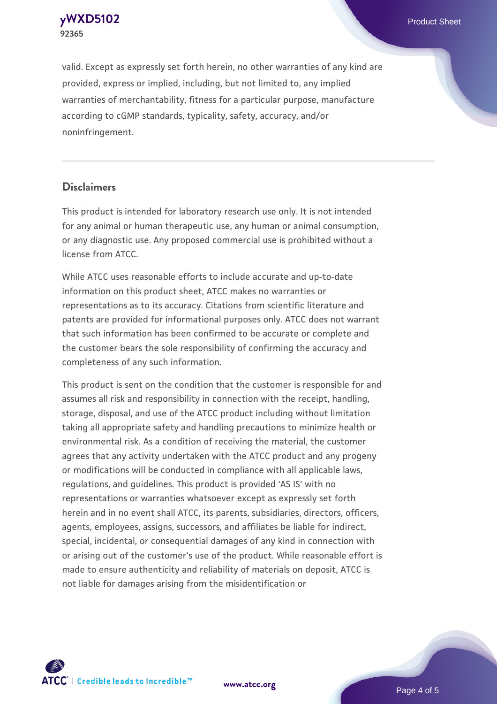**[yWXD5102](https://www.atcc.org/products/92365)** Product Sheet **92365**

valid. Except as expressly set forth herein, no other warranties of any kind are provided, express or implied, including, but not limited to, any implied warranties of merchantability, fitness for a particular purpose, manufacture according to cGMP standards, typicality, safety, accuracy, and/or noninfringement.

#### **Disclaimers**

This product is intended for laboratory research use only. It is not intended for any animal or human therapeutic use, any human or animal consumption, or any diagnostic use. Any proposed commercial use is prohibited without a license from ATCC.

While ATCC uses reasonable efforts to include accurate and up-to-date information on this product sheet, ATCC makes no warranties or representations as to its accuracy. Citations from scientific literature and patents are provided for informational purposes only. ATCC does not warrant that such information has been confirmed to be accurate or complete and the customer bears the sole responsibility of confirming the accuracy and completeness of any such information.

This product is sent on the condition that the customer is responsible for and assumes all risk and responsibility in connection with the receipt, handling, storage, disposal, and use of the ATCC product including without limitation taking all appropriate safety and handling precautions to minimize health or environmental risk. As a condition of receiving the material, the customer agrees that any activity undertaken with the ATCC product and any progeny or modifications will be conducted in compliance with all applicable laws, regulations, and guidelines. This product is provided 'AS IS' with no representations or warranties whatsoever except as expressly set forth herein and in no event shall ATCC, its parents, subsidiaries, directors, officers, agents, employees, assigns, successors, and affiliates be liable for indirect, special, incidental, or consequential damages of any kind in connection with or arising out of the customer's use of the product. While reasonable effort is made to ensure authenticity and reliability of materials on deposit, ATCC is not liable for damages arising from the misidentification or



**[www.atcc.org](http://www.atcc.org)**

Page 4 of 5